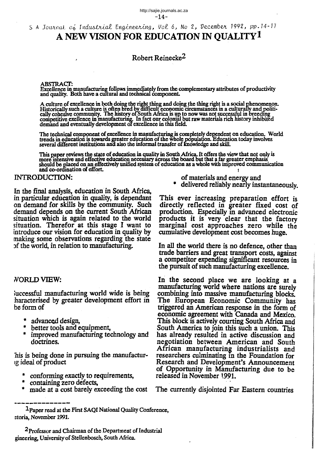S A Journal of Industrial Engineering, Vol 6, No 2, December 1992, pp. 14-17

# A NEW VISION FOR EDUCATION IN QUALITY<sup>1</sup>

# Robert Reinecke<sup>2</sup>

#### **ABSTRACT:**

Excellence in manufacturing follows immediately from the complementary attributes of productivity<br>and quality. Both have a cultural and technical component.

A culture of excellence in both doing the right thing and doing the thing right is a social phenomenon.<br>Historically such a culture is often bred by difficult economic circumstances in a culturally and politically cohesive

The technical component of excellence in manufacturing is completely dependent on education. World<br>trends in education is towards greater education of the whole population. Education today involves<br>several different instit

This paper reviews the state of education in quality in South Africa. It offers the view that not only is<br>more intensive and effective education necessary across the board but that a far greater emphasis<br>should be placed o and co-ordination of effort.

## **INTRODUCTION:**

In the final analysis, education in South Africa, in particular education in quality, is dependant on demand for skills by the community. Such demand depends on the current South African situation which is again related to the world situation. Therefor at this stage I want to introduce our vision for education in quality by making some observations regarding the state of the world, in relation to manufacturing.

# **NORLD VIEW:**

successful manufacturing world wide is being haracterised by greater development effort in he form of

- \* advanced design,
- better tools and equipment,
- improved manufacturing technology and doctrines.

his is being done in pursuing the manufacturig ideal of product

- conforming exactly to requirements,
- containing zero defects,
- made at a cost barely exceeding the cost
- of materials and energy and
- delivered reliably nearly instantaneously.

This ever increasing preparation effort is directly reflected in greater fixed cost of<br>production. Especially in advanced electronic products it is very clear that the factory marginal cost approaches zero while the cumulative development cost becomes huge.

In all the world there is no defence, other than trade barriers and great transport costs, against a competitor expending significant resources in the pursuit of such manufacturing excellence.

In the second place we are looking at a manufacturing world where nations are surely combining into massive manufacturing blocks. The European Economic Community has triggered an American response in the form of economic agreement with Canada and Mexico. This block is actively courting South Africa and South America to join this such a union. This has already resulted in active discussion and negotiation between American and South African manufacturing industrialists and researchers culminating in the Foundation for Research and Development's Announcement of Opportunity in Manufacturing due to be released in November 1991.

The currently disjointed Far Eastern countries

<sup>&</sup>lt;sup>1</sup>Paper read at the First SAQI National Quality Conference, etoria, November 1991.

<sup>&</sup>lt;sup>2</sup>Professor and Chairman of the Department of Industrial gineering, University of Stellenbosch, South Africa.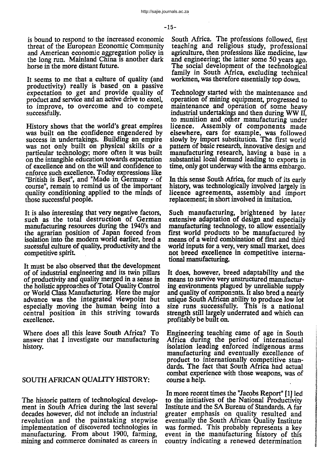is bound to respond to the increased economic threat of the European Economic Community and American economic aggregation policy in the long run. Mainland China is another dark horse in the more distant future.

It seems to me that a culture of quality (and productivity) really is based on a passive expectation to get and provide quality of product and service and an active drive to excel, to improve, to overcome and to compete successfully.

History shows that the world's great empires was built on the confidence engendered by success in undertakings. Building an empire was not only built on physical skills or a particular technology; more often it was built on the intangible education towards expectation of excellence and on the will and confidence to enforce such excellence. Today expressions like "British is Best", and "Made in Germany - of course", remain to remind us of the important quality conditioning applied to the minds of those successful people.

It is also interesting that very negative factors, such as the total destruction of German manufacturing resources during the 1940's and the agrarian position of Japan forced from isolation into the modem world earlier, bred a sucessful culture of quality, productivity and the competitive spirit

It must be also observed that the development of of industrial engineering and its twin pillars of productivity and quality merged in a sense in the holistic approaches of Total Quality Control or World Class Manufacturing. Here the major advance was the integrated viewpoint but especially moving the human being into a central position in this striving towards excellence.

Where does all this leave South Africa? To answer that I investigate our manufacturing history.

## SOUTH AFRICAN QUAUTY HISTORY:

The historic pattern of technological development in South Africa during the last several decades however, did not include an industrial revolution and the painstaking stepwise implementation of discovered technologies in manufacturing. From about 1900, farming, mining and commerce dominated as careers in

South Africa. The professions followed, first teaching and religious study, professional agriculture, then professions like medicine, law<br>and engineering; the latter some 50 years ago. The social development of the technological family in South Africa, excluding technical workmen, was therefore essentially top down.

Technology started with the maintenance and operation of mining equipment, progressed to maintenance and operation of some heavy industrial undertakings and then during WW II, to munition and other manufacturing under licence. Assembly of components made elsewhere, cars for example, was followed slowly by import substitution. The first world pattern of basic research, innovative design and manufacturing research, having a base in a substantial local demand leading to exports in time, only got underway with the arms embargo.

In this sense South Africa, for much of its early history, was technologically involved largely in licence agreements, assembly and import replacement; in short involved in imitation.

Such manufacturing, brightened by later extensive adaptation of design and especially manufacturing technology, to allow essentially first world products to be manufactured by means of a weird combination of fIrst and third world inputs for a very, very small market, does not breed excellence in competitive international manufacturing.

It does, however, breed adaptability and the means to survive very unstructured manufacturing environments plagued by unreliable supply and quality of components. It also bred a nearly unique South African ability to produce low lot size runs successfully. This is a national strength still largely underrated and which can profitably be built on.

Engineering teaching came of age in South Africa during the period of international isolation leading enforced indigenous arms manufacturing and eventually excellence of product to internationally competitive standards. The fact that South Africa had actual combat experience with those weapons, was of course a help. .

In more recent times the "Jacobs Report" [1] led to the initiatives of the National Productivity Institute and the SA Bureau of Standards. A far greater emphasis on quality resulted and eventually the South African Quality Institute was formed. This probably represents a key event in the manufacturing history of this country indicating a renewed determination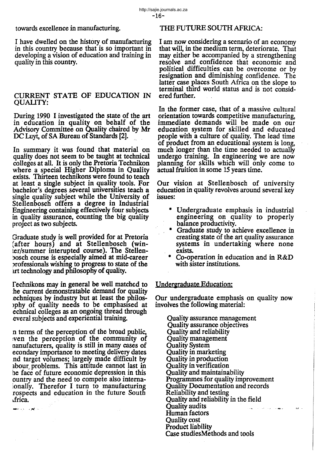towards excellence in manufacturing.

I have dwelled on the history of manufacturing in this country because that is so important in developing a vision of education and training in quality in this country.

# CURRENT STATE OF EDUCATION IN QUALITY:

During 1990 I investigated the state of the art in education in quality on behalf of the Advisory Committee on Quality chaired by Mr DC Luyt, of SA Bureau of Standards [2].

In summary it was found that material on quality does not seem to be taught at technical colleges at all. It is only the Pretoria Technikon where a special Higher Diploma in Quality exists. Thirteen techirikons were found to teach at least a single subject in quality tools. For bachelor's degrees several universities teach a single quality subject while the University of Stellenbosch offers a degree in Industrial Engineering containing effectively four subjects in quality assurance, counting the big quality project as two subjects.

Graduate study is well provided for at Pretoria (after hours) and at Stellenbosch (winter/summer interupted course). The Stellenbosch course is especially aimed at mid-career Jrofessionals wishing to progress to state of the lrt technology and philosophy of quality.

fechnikons may in general be well matched to he current demonstratable demand for quality echniques by industry but at least the philos->phy of quality needs to be emphaSIsed at echnical colleges as an ongoing thread through everal subjects and experiential training.

n terms of the perception of the broad public, :ven the perception of the community of nanufacturers, quality is still in many cases of econdary importance to meeting delivery dates nd target volumes; largely made difficult by abour problems. This attitude cannot last in he face of future economic depression in this ountry and the need to compete also intemalonally. Therefor I turn to manufacturing rospects and education in the future South .irica.

ene> so vje<mark>r</mark> – r

# THE FUTURE SOUTH AFRICA:

I am now considering a scenario of an economy that will, in the medium term, deteriorate. That may either be accompanied by a strengthening resolve and confidence that economic and political difficulties can be overcome or by resignation and diminishing confidence. The latter case places South Africa on the slope to terminal third world status and is not considered further.

In the former case, that of a massive cultural orientation towards competitive manufacturing, immediate demands will be made on our education system for skilled and educated people with a culture of quality. The lead time of product from an educational system is long, much longer than the time needed to actually undergo training. In engineering we are now planmng for skills which will only come to actual fruition in some 15 years time.

Our vision at Stellenbosch of university education in quality revolves around several key issues:

- Undergraduate emphasis in industrial engineering on quality to properly balance productivity.
- \* Graduate study to achieve excellence in creating state of the art quality assurance systems in undertaking where none exists.
- \* Co-operation in education and in  $R&D$ with sister institutions.

# Undergraduate Education:

Our undergraduate emphasis on quality now involves the following material:

Quality assurance management Quality assurance objectives Quality and reliability Quality management Quality System Quality in marketing Quality in production Quality in verification Quality and maintainability Programmes for quality improvement Quality Documentation and records Reliability and testing Renabury and testing<br>Quality and reliability in the fi<br>Quality audits Quality and reliability in the field and the state of a space. Human factors Quality cost Product liability Case studiesMethods and tools